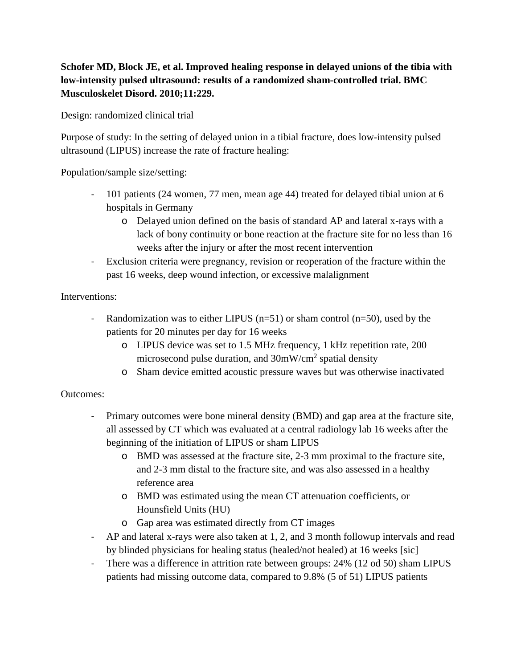# **Schofer MD, Block JE, et al. Improved healing response in delayed unions of the tibia with low-intensity pulsed ultrasound: results of a randomized sham-controlled trial. BMC Musculoskelet Disord. 2010;11:229.**

Design: randomized clinical trial

Purpose of study: In the setting of delayed union in a tibial fracture, does low-intensity pulsed ultrasound (LIPUS) increase the rate of fracture healing:

Population/sample size/setting:

- 101 patients (24 women, 77 men, mean age 44) treated for delayed tibial union at 6 hospitals in Germany
	- o Delayed union defined on the basis of standard AP and lateral x-rays with a lack of bony continuity or bone reaction at the fracture site for no less than 16 weeks after the injury or after the most recent intervention
- Exclusion criteria were pregnancy, revision or reoperation of the fracture within the past 16 weeks, deep wound infection, or excessive malalignment

## Interventions:

- Randomization was to either LIPUS ( $n=51$ ) or sham control ( $n=50$ ), used by the patients for 20 minutes per day for 16 weeks
	- o LIPUS device was set to 1.5 MHz frequency, 1 kHz repetition rate, 200 microsecond pulse duration, and  $30mW/cm<sup>2</sup>$  spatial density
	- o Sham device emitted acoustic pressure waves but was otherwise inactivated

## Outcomes:

- Primary outcomes were bone mineral density (BMD) and gap area at the fracture site, all assessed by CT which was evaluated at a central radiology lab 16 weeks after the beginning of the initiation of LIPUS or sham LIPUS
	- o BMD was assessed at the fracture site, 2-3 mm proximal to the fracture site, and 2-3 mm distal to the fracture site, and was also assessed in a healthy reference area
	- o BMD was estimated using the mean CT attenuation coefficients, or Hounsfield Units (HU)
	- o Gap area was estimated directly from CT images
- AP and lateral x-rays were also taken at 1, 2, and 3 month followup intervals and read by blinded physicians for healing status (healed/not healed) at 16 weeks [sic]
- There was a difference in attrition rate between groups: 24% (12 od 50) sham LIPUS patients had missing outcome data, compared to 9.8% (5 of 51) LIPUS patients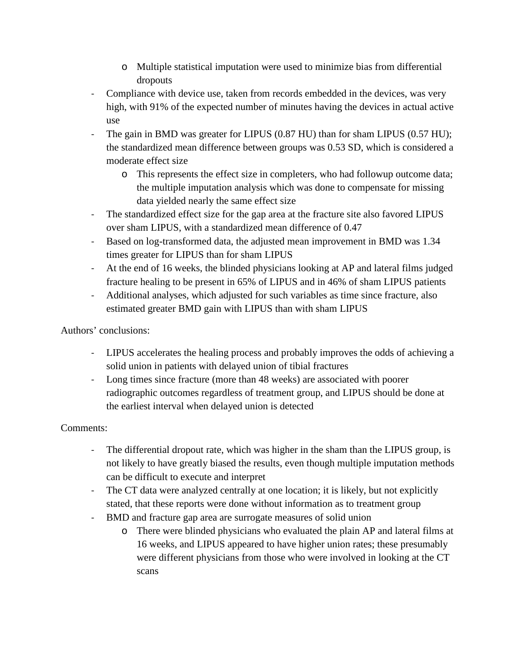- o Multiple statistical imputation were used to minimize bias from differential dropouts
- Compliance with device use, taken from records embedded in the devices, was very high, with 91% of the expected number of minutes having the devices in actual active use
- The gain in BMD was greater for LIPUS (0.87 HU) than for sham LIPUS (0.57 HU); the standardized mean difference between groups was 0.53 SD, which is considered a moderate effect size
	- o This represents the effect size in completers, who had followup outcome data; the multiple imputation analysis which was done to compensate for missing data yielded nearly the same effect size
- The standardized effect size for the gap area at the fracture site also favored LIPUS over sham LIPUS, with a standardized mean difference of 0.47
- Based on log-transformed data, the adjusted mean improvement in BMD was 1.34 times greater for LIPUS than for sham LIPUS
- At the end of 16 weeks, the blinded physicians looking at AP and lateral films judged fracture healing to be present in 65% of LIPUS and in 46% of sham LIPUS patients
- Additional analyses, which adjusted for such variables as time since fracture, also estimated greater BMD gain with LIPUS than with sham LIPUS

# Authors' conclusions:

- LIPUS accelerates the healing process and probably improves the odds of achieving a solid union in patients with delayed union of tibial fractures
- Long times since fracture (more than 48 weeks) are associated with poorer radiographic outcomes regardless of treatment group, and LIPUS should be done at the earliest interval when delayed union is detected

## Comments:

- The differential dropout rate, which was higher in the sham than the LIPUS group, is not likely to have greatly biased the results, even though multiple imputation methods can be difficult to execute and interpret
- The CT data were analyzed centrally at one location; it is likely, but not explicitly stated, that these reports were done without information as to treatment group
- BMD and fracture gap area are surrogate measures of solid union
	- o There were blinded physicians who evaluated the plain AP and lateral films at 16 weeks, and LIPUS appeared to have higher union rates; these presumably were different physicians from those who were involved in looking at the CT scans